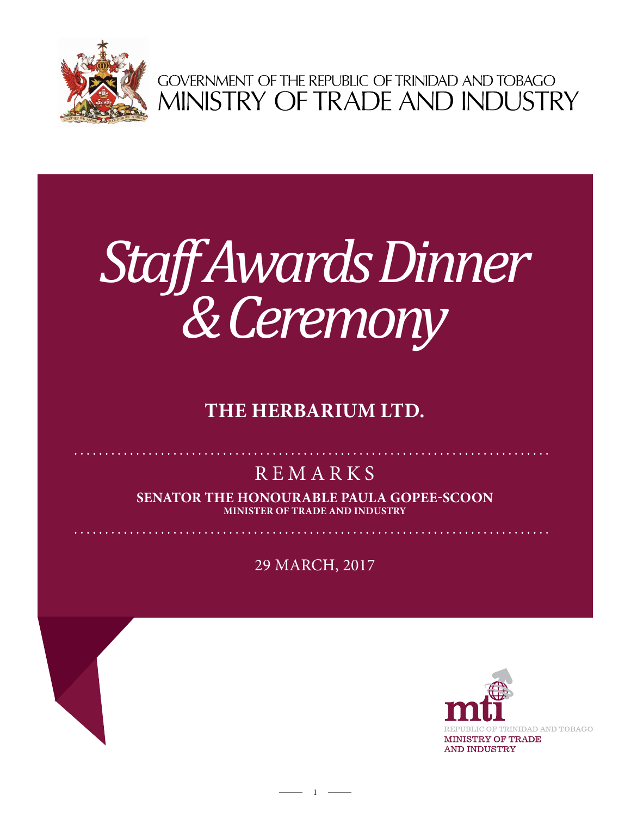

GOVERNMENT OF THE REPUBLIC OF TRINIDAD AND TOBAGO<br>MINISTRY OF TRADE AND INDUSTRY

## *Staff Awards Dinner & Ceremony*

## **The Herbarium ltd.**

## **REMARKS**

**Senator the Honourable Paula Gopee-Scoon Minister of Trade and Industry**

29 mARCH, 2017

 $1 -$ 

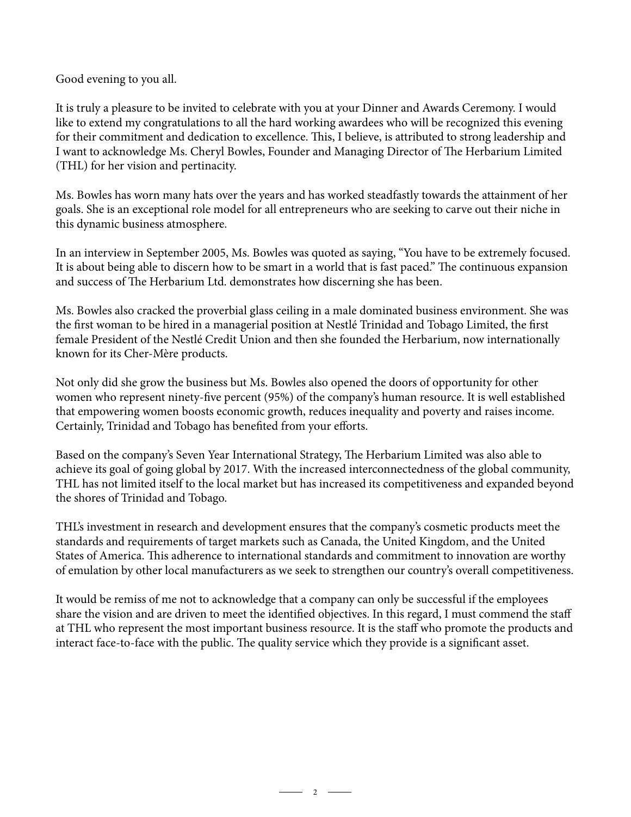Good evening to you all.

It is truly a pleasure to be invited to celebrate with you at your Dinner and Awards Ceremony. I would like to extend my congratulations to all the hard working awardees who will be recognized this evening for their commitment and dedication to excellence. This, I believe, is attributed to strong leadership and I want to acknowledge Ms. Cheryl Bowles, Founder and Managing Director of The Herbarium Limited (THL) for her vision and pertinacity.

Ms. Bowles has worn many hats over the years and has worked steadfastly towards the attainment of her goals. She is an exceptional role model for all entrepreneurs who are seeking to carve out their niche in this dynamic business atmosphere.

In an interview in September 2005, Ms. Bowles was quoted as saying, "You have to be extremely focused. It is about being able to discern how to be smart in a world that is fast paced." The continuous expansion and success of The Herbarium Ltd. demonstrates how discerning she has been.

Ms. Bowles also cracked the proverbial glass ceiling in a male dominated business environment. She was the first woman to be hired in a managerial position at Nestlé Trinidad and Tobago Limited, the first female President of the Nestlé Credit Union and then she founded the Herbarium, now internationally known for its Cher-Mère products.

Not only did she grow the business but Ms. Bowles also opened the doors of opportunity for other women who represent ninety-five percent (95%) of the company's human resource. It is well established that empowering women boosts economic growth, reduces inequality and poverty and raises income. Certainly, Trinidad and Tobago has benefited from your efforts.

Based on the company's Seven Year International Strategy, The Herbarium Limited was also able to achieve its goal of going global by 2017. With the increased interconnectedness of the global community, THL has not limited itself to the local market but has increased its competitiveness and expanded beyond the shores of Trinidad and Tobago.

THL's investment in research and development ensures that the company's cosmetic products meet the standards and requirements of target markets such as Canada, the United Kingdom, and the United States of America. This adherence to international standards and commitment to innovation are worthy of emulation by other local manufacturers as we seek to strengthen our country's overall competitiveness.

It would be remiss of me not to acknowledge that a company can only be successful if the employees share the vision and are driven to meet the identified objectives. In this regard, I must commend the staff at THL who represent the most important business resource. It is the staff who promote the products and interact face-to-face with the public. The quality service which they provide is a significant asset.

 $-2$   $-$